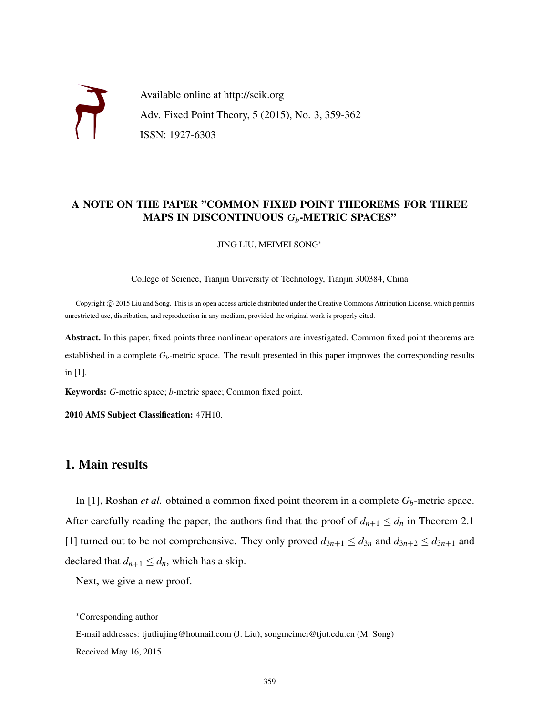

## A NOTE ON THE PAPER "COMMON FIXED POINT THEOREMS FOR THREE MAPS IN DISCONTINUOUS *Gb*-METRIC SPACES"

JING LIU, MEIMEI SONG<sup>∗</sup>

College of Science, Tianjin University of Technology, Tianjin 300384, China

Copyright © 2015 Liu and Song. This is an open access article distributed under the Creative Commons Attribution License, which permits unrestricted use, distribution, and reproduction in any medium, provided the original work is properly cited.

Abstract. In this paper, fixed points three nonlinear operators are investigated. Common fixed point theorems are established in a complete  $G_b$ -metric space. The result presented in this paper improves the corresponding results in [1].

Keywords: *G*-metric space; *b*-metric space; Common fixed point.

2010 AMS Subject Classification: 47H10.

# 1. Main results

In [1], Roshan *et al.* obtained a common fixed point theorem in a complete *Gb*-metric space. After carefully reading the paper, the authors find that the proof of  $d_{n+1} \leq d_n$  in Theorem 2.1 [1] turned out to be not comprehensive. They only proved  $d_{3n+1} \leq d_{3n}$  and  $d_{3n+2} \leq d_{3n+1}$  and declared that  $d_{n+1} \leq d_n$ , which has a skip.

Next, we give a new proof.

<sup>∗</sup>Corresponding author

E-mail addresses: tjutliujing@hotmail.com (J. Liu), songmeimei@tjut.edu.cn (M. Song)

Received May 16, 2015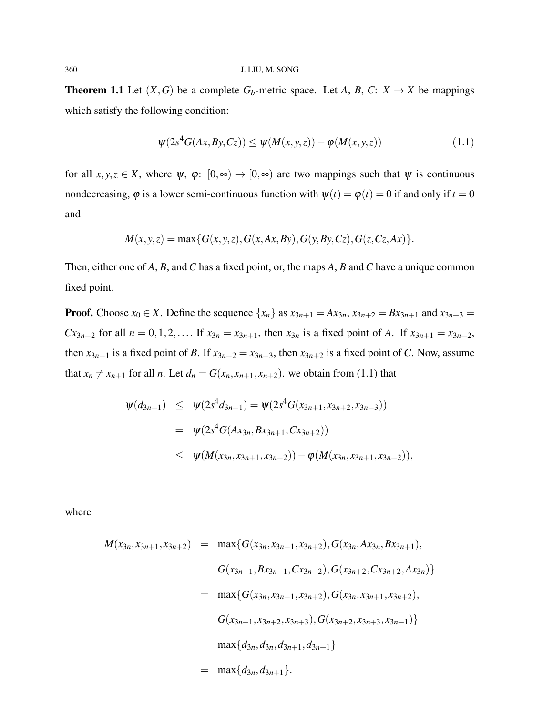**Theorem 1.1** Let  $(X, G)$  be a complete  $G_b$ -metric space. Let *A*, *B*, *C*:  $X \rightarrow X$  be mappings which satisfy the following condition:

$$
\psi(2s^4G(Ax, By, Cz)) \le \psi(M(x, y, z)) - \varphi(M(x, y, z)) \tag{1.1}
$$

for all  $x, y, z \in X$ , where  $\psi$ ,  $\varphi$ :  $[0, \infty) \to [0, \infty)$  are two mappings such that  $\psi$  is continuous nondecreasing,  $\varphi$  is a lower semi-continuous function with  $\psi(t) = \varphi(t) = 0$  if and only if  $t = 0$ and

$$
M(x, y, z) = \max\{G(x, y, z), G(x, Ax, By), G(y, By, Cz), G(z, Cz, Ax)\}.
$$

Then, either one of *A*, *B*, and*C* has a fixed point, or, the maps *A*, *B* and*C* have a unique common fixed point.

**Proof.** Choose  $x_0 \in X$ . Define the sequence  $\{x_n\}$  as  $x_{3n+1} = Ax_{3n}$ ,  $x_{3n+2} = Bx_{3n+1}$  and  $x_{3n+3} =$ *Cx*<sub>3*n*+2</sub> for all  $n = 0, 1, 2, \ldots$  If  $x_{3n} = x_{3n+1}$ , then  $x_{3n}$  is a fixed point of *A*. If  $x_{3n+1} = x_{3n+2}$ , then  $x_{3n+1}$  is a fixed point of *B*. If  $x_{3n+2} = x_{3n+3}$ , then  $x_{3n+2}$  is a fixed point of *C*. Now, assume that  $x_n \neq x_{n+1}$  for all *n*. Let  $d_n = G(x_n, x_{n+1}, x_{n+2})$ , we obtain from (1.1) that

$$
\begin{array}{lcl} \psi(d_{3n+1}) & \leq & \psi(2s^4d_{3n+1}) = \psi(2s^4G(x_{3n+1},x_{3n+2},x_{3n+3})) \\ \\ & = & \psi(2s^4G(Ax_{3n},Bx_{3n+1},Cx_{3n+2})) \\ \\ & \leq & \psi(M(x_{3n},x_{3n+1},x_{3n+2})) - \varphi(M(x_{3n},x_{3n+1},x_{3n+2})), \end{array}
$$

where

$$
M(x_{3n}, x_{3n+1}, x_{3n+2}) = \max \{ G(x_{3n}, x_{3n+1}, x_{3n+2}), G(x_{3n}, Ax_{3n}, Bx_{3n+1}),
$$
  

$$
G(x_{3n+1}, Bx_{3n+1}, Cx_{3n+2}), G(x_{3n+2}, Cx_{3n+2}, Ax_{3n}) \}
$$
  

$$
= \max \{ G(x_{3n}, x_{3n+1}, x_{3n+2}), G(x_{3n}, x_{3n+1}, x_{3n+2}),
$$
  

$$
G(x_{3n+1}, x_{3n+2}, x_{3n+3}), G(x_{3n+2}, x_{3n+3}, x_{3n+1}) \}
$$
  

$$
= \max \{ d_{3n}, d_{3n}, d_{3n+1}, d_{3n+1} \}
$$
  

$$
= \max \{ d_{3n}, d_{3n+1} \}.
$$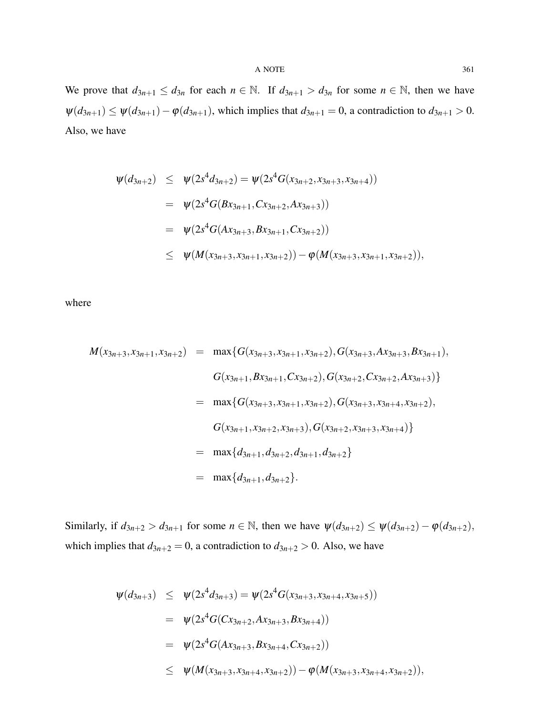#### $A$  NOTE 361

We prove that  $d_{3n+1} \leq d_{3n}$  for each  $n \in \mathbb{N}$ . If  $d_{3n+1} > d_{3n}$  for some  $n \in \mathbb{N}$ , then we have  $\psi(d_{3n+1}) \leq \psi(d_{3n+1}) - \phi(d_{3n+1})$ , which implies that  $d_{3n+1} = 0$ , a contradiction to  $d_{3n+1} > 0$ . Also, we have

$$
\begin{array}{lcl} \psi(d_{3n+2}) & \leq & \psi(2s^4d_{3n+2}) = \psi(2s^4G(x_{3n+2},x_{3n+3},x_{3n+4})) \\ \\ & = & \psi(2s^4G(Bx_{3n+1},Cx_{3n+2},Ax_{3n+3})) \\ \\ & = & \psi(2s^4G(Ax_{3n+3},Bx_{3n+1},Cx_{3n+2})) \\ \\ & \leq & \psi(M(x_{3n+3},x_{3n+1},x_{3n+2})) - \varphi(M(x_{3n+3},x_{3n+1},x_{3n+2})), \end{array}
$$

where

$$
M(x_{3n+3}, x_{3n+1}, x_{3n+2}) = \max \{ G(x_{3n+3}, x_{3n+1}, x_{3n+2}), G(x_{3n+3}, Ax_{3n+3}, Bx_{3n+1}),
$$
  

$$
G(x_{3n+1}, Bx_{3n+1}, Cx_{3n+2}), G(x_{3n+2}, Cx_{3n+2}, Ax_{3n+3}) \}
$$
  

$$
= \max \{ G(x_{3n+3}, x_{3n+1}, x_{3n+2}), G(x_{3n+3}, x_{3n+4}, x_{3n+2}),
$$
  

$$
G(x_{3n+1}, x_{3n+2}, x_{3n+3}), G(x_{3n+2}, x_{3n+3}, x_{3n+4}) \}
$$
  

$$
= \max \{ d_{3n+1}, d_{3n+2}, d_{3n+1}, d_{3n+2} \}
$$
  

$$
= \max \{ d_{3n+1}, d_{3n+2} \}.
$$

Similarly, if  $d_{3n+2} > d_{3n+1}$  for some  $n \in \mathbb{N}$ , then we have  $\psi(d_{3n+2}) \leq \psi(d_{3n+2}) - \phi(d_{3n+2})$ , which implies that  $d_{3n+2} = 0$ , a contradiction to  $d_{3n+2} > 0$ . Also, we have

$$
\begin{array}{lcl}\n\psi(d_{3n+3}) & \leq & \psi(2s^4d_{3n+3}) = \psi(2s^4G(x_{3n+3}, x_{3n+4}, x_{3n+5})) \\
& = & \psi(2s^4G(Cx_{3n+2}, Ax_{3n+3}, Bx_{3n+4})) \\
& = & \psi(2s^4G(Ax_{3n+3}, Bx_{3n+4}, Cx_{3n+2})) \\
& \leq & \psi(M(x_{3n+3}, x_{3n+4}, x_{3n+2})) - \varphi(M(x_{3n+3}, x_{3n+4}, x_{3n+2})),\n\end{array}
$$